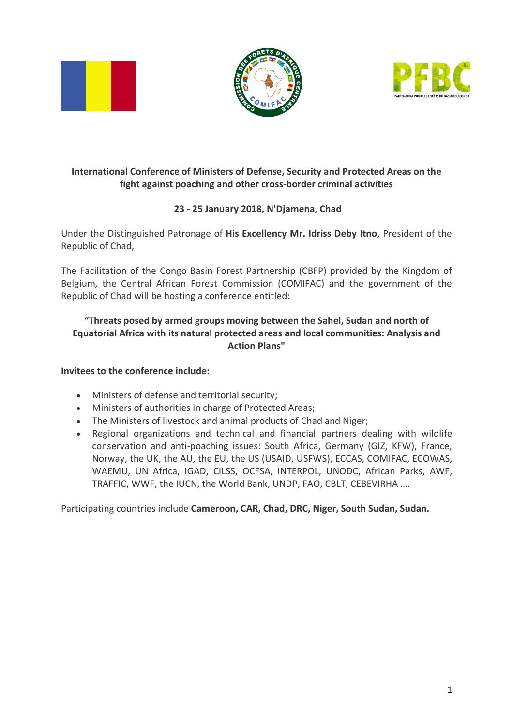





## **International Conference of Ministers of Defense, Security and Protected Areas on the fight against poaching and other cross-border criminal activities**

# **23 - 25 January 2018, N'Djamena, Chad**

Under the Distinguished Patronage of **His Excellency Mr. Idriss Deby Itno**, President of the Republic of Chad,

The Facilitation of the Congo Basin Forest Partnership (CBFP) provided by the Kingdom of Belgium, the Central African Forest Commission (COMIFAC) and the government of the Republic of Chad will be hosting a conference entitled:

### **"Threats posed by armed groups moving between the Sahel, Sudan and north of Equatorial Africa with its natural protected areas and local communities: Analysis and Action Plans"**

#### **Invitees to the conference include:**

- Ministers of defense and territorial security;
- Ministers of authorities in charge of Protected Areas;
- The Ministers of livestock and animal products of Chad and Niger;
- Regional organizations and technical and financial partners dealing with wildlife conservation and anti-poaching issues: South Africa, Germany (GIZ, KFW), France, Norway, the UK, the AU, the EU, the US (USAID, USFWS), ECCAS, COMIFAC, ECOWAS, WAEMU, UN Africa, IGAD, CILSS, OCFSA, INTERPOL, UNODC, African Parks, AWF, TRAFFIC, WWF, the IUCN, the World Bank, UNDP, FAO, CBLT, CEBEVIRHA ….

Participating countries include **Cameroon, CAR, Chad, DRC, Niger, South Sudan, Sudan.**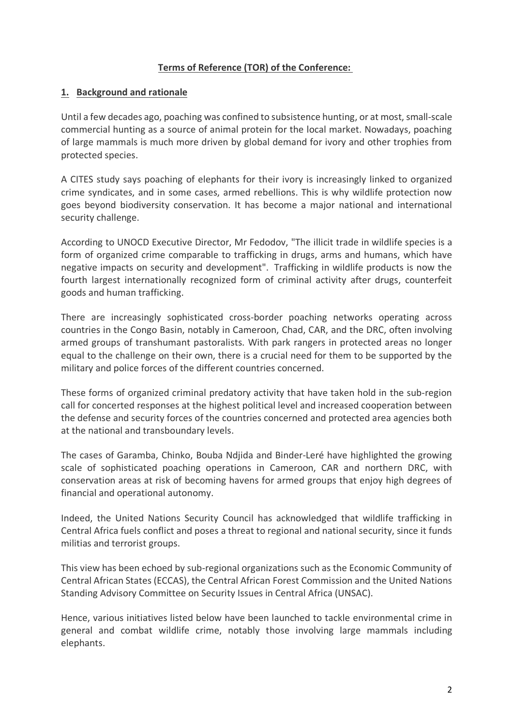#### **Terms of Reference (TOR) of the Conference:**

#### **1. Background and rationale**

Until a few decades ago, poaching was confined to subsistence hunting, or at most, small-scale commercial hunting as a source of animal protein for the local market. Nowadays, poaching of large mammals is much more driven by global demand for ivory and other trophies from protected species.

A CITES study says poaching of elephants for their ivory is increasingly linked to organized crime syndicates, and in some cases, armed rebellions. This is why wildlife protection now goes beyond biodiversity conservation. It has become a major national and international security challenge.

According to UNOCD Executive Director, Mr Fedodov, "The illicit trade in wildlife species is a form of organized crime comparable to trafficking in drugs, arms and humans, which have negative impacts on security and development". Trafficking in wildlife products is now the fourth largest internationally recognized form of criminal activity after drugs, counterfeit goods and human trafficking.

There are increasingly sophisticated cross-border poaching networks operating across countries in the Congo Basin, notably in Cameroon, Chad, CAR, and the DRC, often involving armed groups of transhumant pastoralists. With park rangers in protected areas no longer equal to the challenge on their own, there is a crucial need for them to be supported by the military and police forces of the different countries concerned.

These forms of organized criminal predatory activity that have taken hold in the sub-region call for concerted responses at the highest political level and increased cooperation between the defense and security forces of the countries concerned and protected area agencies both at the national and transboundary levels.

The cases of Garamba, Chinko, Bouba Ndjida and Binder-Leré have highlighted the growing scale of sophisticated poaching operations in Cameroon, CAR and northern DRC, with conservation areas at risk of becoming havens for armed groups that enjoy high degrees of financial and operational autonomy.

Indeed, the United Nations Security Council has acknowledged that wildlife trafficking in Central Africa fuels conflict and poses a threat to regional and national security, since it funds militias and terrorist groups.

This view has been echoed by sub-regional organizations such as the Economic Community of Central African States (ECCAS), the Central African Forest Commission and the United Nations Standing Advisory Committee on Security Issues in Central Africa (UNSAC).

Hence, various initiatives listed below have been launched to tackle environmental crime in general and combat wildlife crime, notably those involving large mammals including elephants.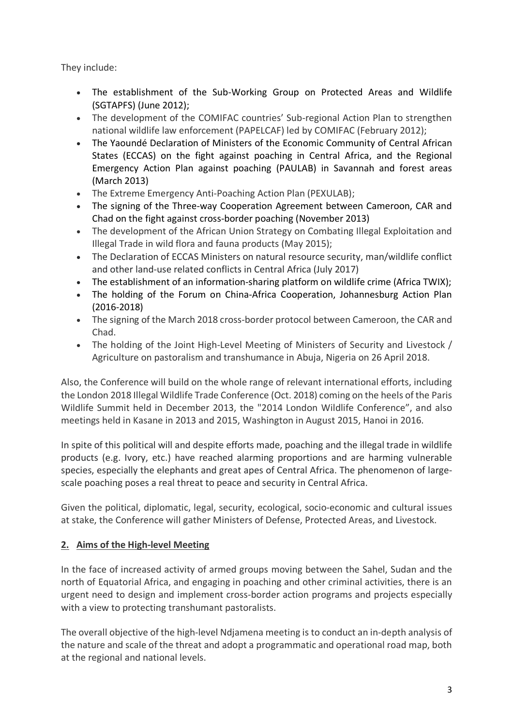They include:

- The establishment of the Sub-Working Group on Protected Areas and Wildlife (SGTAPFS) (June 2012);
- The development of the COMIFAC countries' Sub-regional Action Plan to strengthen national wildlife law enforcement (PAPELCAF) led by COMIFAC (February 2012);
- The Yaoundé Declaration of Ministers of the Economic Community of Central African States (ECCAS) on the fight against poaching in Central Africa, and the Regional Emergency Action Plan against poaching (PAULAB) in Savannah and forest areas (March 2013)
- The Extreme Emergency Anti-Poaching Action Plan (PEXULAB);
- The signing of the Three-way Cooperation Agreement between Cameroon, CAR and Chad on the fight against cross-border poaching (November 2013)
- The development of the African Union Strategy on Combating Illegal Exploitation and Illegal Trade in wild flora and fauna products (May 2015);
- The Declaration of ECCAS Ministers on natural resource security, man/wildlife conflict and other land-use related conflicts in Central Africa (July 2017)
- The establishment of an information-sharing platform on wildlife crime (Africa TWIX);
- The holding of the Forum on China-Africa Cooperation, Johannesburg Action Plan (2016-2018)
- The signing of the March 2018 cross-border protocol between Cameroon, the CAR and Chad.
- The holding of the Joint High-Level Meeting of Ministers of Security and Livestock / Agriculture on pastoralism and transhumance in Abuja, Nigeria on 26 April 2018.

Also, the Conference will build on the whole range of relevant international efforts, including the London 2018 Illegal Wildlife Trade Conference (Oct. 2018) coming on the heels of the Paris Wildlife Summit held in December 2013, the "2014 London Wildlife Conference", and also meetings held in Kasane in 2013 and 2015, Washington in August 2015, Hanoi in 2016.

In spite of this political will and despite efforts made, poaching and the illegal trade in wildlife products (e.g. Ivory, etc.) have reached alarming proportions and are harming vulnerable species, especially the elephants and great apes of Central Africa. The phenomenon of largescale poaching poses a real threat to peace and security in Central Africa.

Given the political, diplomatic, legal, security, ecological, socio-economic and cultural issues at stake, the Conference will gather Ministers of Defense, Protected Areas, and Livestock.

# **2. Aims of the High-level Meeting**

In the face of increased activity of armed groups moving between the Sahel, Sudan and the north of Equatorial Africa, and engaging in poaching and other criminal activities, there is an urgent need to design and implement cross-border action programs and projects especially with a view to protecting transhumant pastoralists.

The overall objective of the high-level Ndjamena meeting is to conduct an in-depth analysis of the nature and scale of the threat and adopt a programmatic and operational road map, both at the regional and national levels.